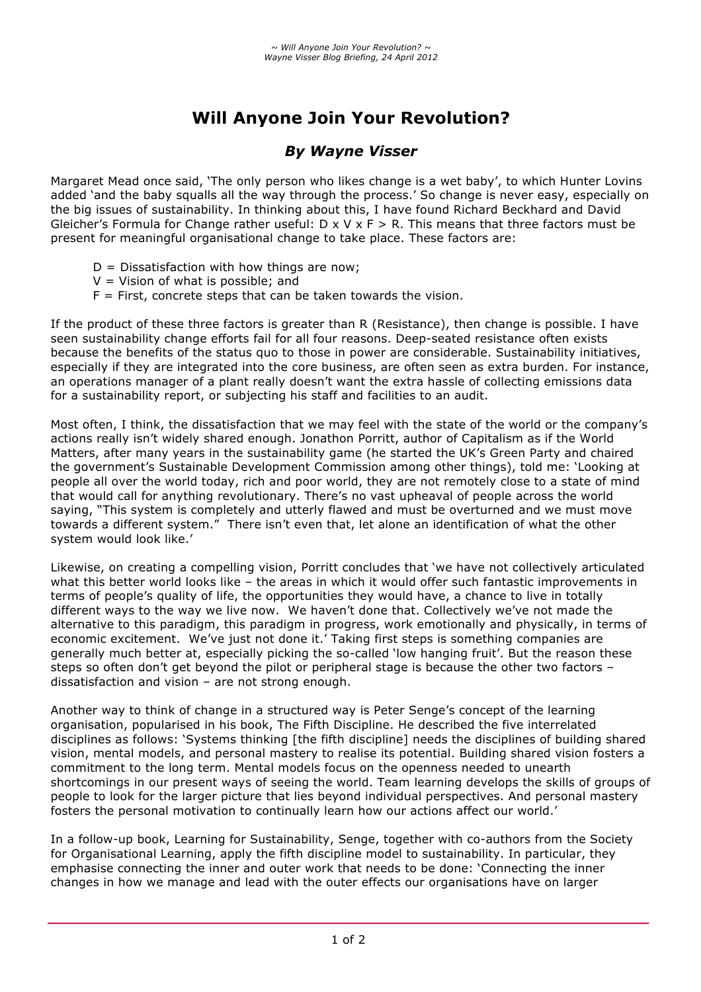# **Will Anyone Join Your Revolution?**

# *By Wayne Visser*

Margaret Mead once said, 'The only person who likes change is a wet baby', to which Hunter Lovins added 'and the baby squalls all the way through the process.' So change is never easy, especially on the big issues of sustainability. In thinking about this, I have found Richard Beckhard and David Gleicher's Formula for Change rather useful:  $D \times V \times F > R$ . This means that three factors must be present for meaningful organisational change to take place. These factors are:

- $D =$  Dissatisfaction with how things are now;
- $V =$  Vision of what is possible; and
- $F =$  First, concrete steps that can be taken towards the vision.

If the product of these three factors is greater than R (Resistance), then change is possible. I have seen sustainability change efforts fail for all four reasons. Deep-seated resistance often exists because the benefits of the status quo to those in power are considerable. Sustainability initiatives, especially if they are integrated into the core business, are often seen as extra burden. For instance, an operations manager of a plant really doesn't want the extra hassle of collecting emissions data for a sustainability report, or subjecting his staff and facilities to an audit.

Most often, I think, the dissatisfaction that we may feel with the state of the world or the company's actions really isn't widely shared enough. Jonathon Porritt, author of Capitalism as if the World Matters, after many years in the sustainability game (he started the UK's Green Party and chaired the government's Sustainable Development Commission among other things), told me: 'Looking at people all over the world today, rich and poor world, they are not remotely close to a state of mind that would call for anything revolutionary. There's no vast upheaval of people across the world saying, "This system is completely and utterly flawed and must be overturned and we must move towards a different system." There isn't even that, let alone an identification of what the other system would look like.'

Likewise, on creating a compelling vision, Porritt concludes that 'we have not collectively articulated what this better world looks like – the areas in which it would offer such fantastic improvements in terms of people's quality of life, the opportunities they would have, a chance to live in totally different ways to the way we live now. We haven't done that. Collectively we've not made the alternative to this paradigm, this paradigm in progress, work emotionally and physically, in terms of economic excitement. We've just not done it.' Taking first steps is something companies are generally much better at, especially picking the so-called 'low hanging fruit'. But the reason these steps so often don't get beyond the pilot or peripheral stage is because the other two factors – dissatisfaction and vision – are not strong enough.

Another way to think of change in a structured way is Peter Senge's concept of the learning organisation, popularised in his book, The Fifth Discipline. He described the five interrelated disciplines as follows: 'Systems thinking [the fifth discipline] needs the disciplines of building shared vision, mental models, and personal mastery to realise its potential. Building shared vision fosters a commitment to the long term. Mental models focus on the openness needed to unearth shortcomings in our present ways of seeing the world. Team learning develops the skills of groups of people to look for the larger picture that lies beyond individual perspectives. And personal mastery fosters the personal motivation to continually learn how our actions affect our world.'

In a follow-up book, Learning for Sustainability, Senge, together with co-authors from the Society for Organisational Learning, apply the fifth discipline model to sustainability. In particular, they emphasise connecting the inner and outer work that needs to be done: 'Connecting the inner changes in how we manage and lead with the outer effects our organisations have on larger